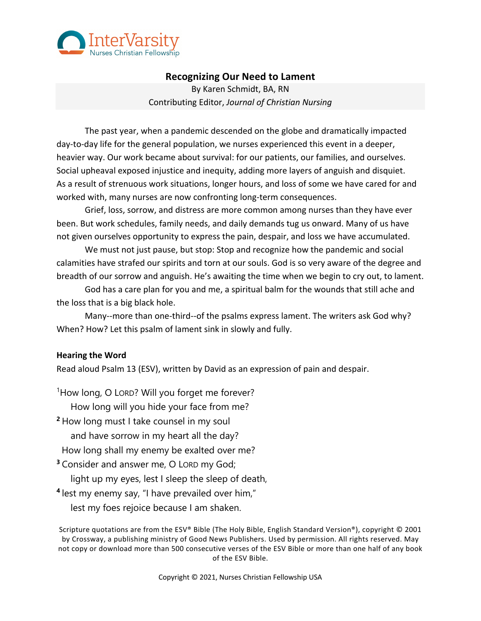

# **Recognizing Our Need to Lament**

By Karen Schmidt, BA, RN Contributing Editor, *Journal of Christian Nursing*

The past year, when a pandemic descended on the globe and dramatically impacted day-to-day life for the general population, we nurses experienced this event in a deeper, heavier way. Our work became about survival: for our patients, our families, and ourselves. Social upheaval exposed injustice and inequity, adding more layers of anguish and disquiet. As a result of strenuous work situations, longer hours, and loss of some we have cared for and worked with, many nurses are now confronting long-term consequences.

Grief, loss, sorrow, and distress are more common among nurses than they have ever been. But work schedules, family needs, and daily demands tug us onward. Many of us have not given ourselves opportunity to express the pain, despair, and loss we have accumulated.

We must not just pause, but stop: Stop and recognize how the pandemic and social calamities have strafed our spirits and torn at our souls. God is so very aware of the degree and breadth of our sorrow and anguish. He's awaiting the time when we begin to cry out, to lament.

God has a care plan for you and me, a spiritual balm for the wounds that still ache and the loss that is a big black hole.

Many--more than one-third--of the psalms express lament. The writers ask God why? When? How? Let this psalm of lament sink in slowly and fully.

### **Hearing the Word**

Read aloud Psalm 13 (ESV), written by David as an expression of pain and despair.

<sup>1</sup>How long, O LORD? Will you forget me forever? How long will you hide your face from me? **<sup>2</sup>** How long must I take counsel in my soul and have sorrow in my heart all the day? How long shall my enemy be exalted over me? **<sup>3</sup>** Consider and answer me, O LORD my God; light up my eyes, lest I sleep the sleep of death, **<sup>4</sup>** lest my enemy say, "I have prevailed over him," lest my foes rejoice because I am shaken.

Scripture quotations are from the ESV® Bible (The Holy Bible, English Standard Version®), copyright © 2001 by Crossway, a publishing ministry of Good News Publishers. Used by permission. All rights reserved. May not copy or download more than 500 consecutive verses of the ESV Bible or more than one half of any book of the ESV Bible.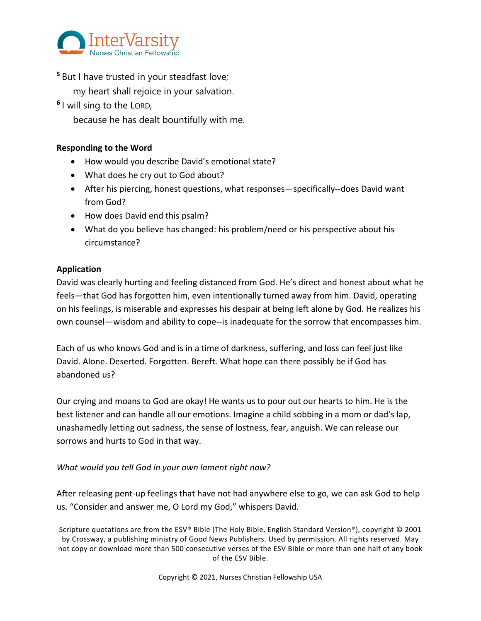

**<sup>5</sup>** But I have trusted in your steadfast love;

my heart shall rejoice in your salvation.

**<sup>6</sup>** I will sing to the LORD,

because he has dealt bountifully with me.

## **Responding to the Word**

- How would you describe David's emotional state?
- What does he cry out to God about?
- After his piercing, honest questions, what responses—specifically--does David want from God?
- How does David end this psalm?
- What do you believe has changed: his problem/need or his perspective about his circumstance?

## **Application**

David was clearly hurting and feeling distanced from God. He's direct and honest about what he feels—that God has forgotten him, even intentionally turned away from him. David, operating on his feelings, is miserable and expresses his despair at being left alone by God. He realizes his own counsel—wisdom and ability to cope--is inadequate for the sorrow that encompasses him.

Each of us who knows God and is in a time of darkness, suffering, and loss can feel just like David. Alone. Deserted. Forgotten. Bereft. What hope can there possibly be if God has abandoned us?

Our crying and moans to God are okay! He wants us to pour out our hearts to him. He is the best listener and can handle all our emotions. Imagine a child sobbing in a mom or dad's lap, unashamedly letting out sadness, the sense of lostness, fear, anguish. We can release our sorrows and hurts to God in that way.

## *What would you tell God in your own lament right now?*

After releasing pent-up feelings that have not had anywhere else to go, we can ask God to help us. "Consider and answer me, O Lord my God," whispers David.

Scripture quotations are from the ESV® Bible (The Holy Bible, English Standard Version®), copyright © 2001 by Crossway, a publishing ministry of Good News Publishers. Used by permission. All rights reserved. May not copy or download more than 500 consecutive verses of the ESV Bible or more than one half of any book of the ESV Bible.